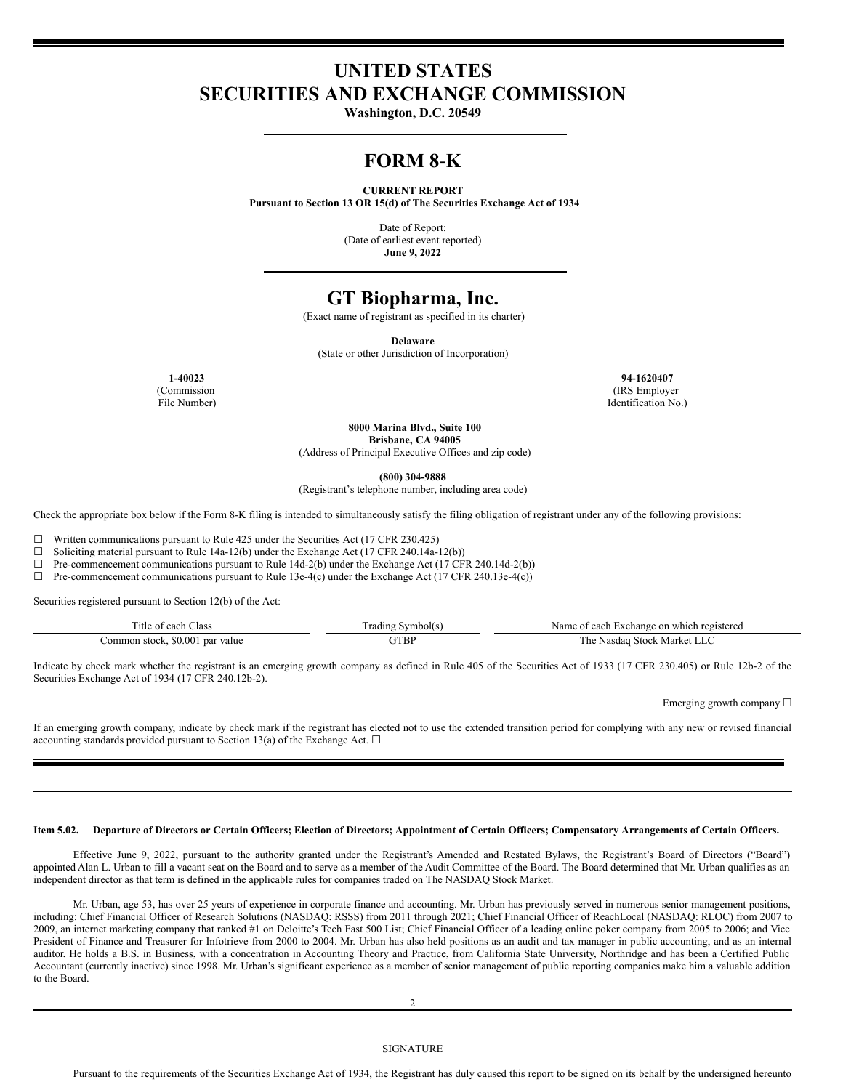# **UNITED STATES SECURITIES AND EXCHANGE COMMISSION**

**Washington, D.C. 20549**

## **FORM 8-K**

#### **CURRENT REPORT**

**Pursuant to Section 13 OR 15(d) of The Securities Exchange Act of 1934**

Date of Report: (Date of earliest event reported) **June 9, 2022**

### **GT Biopharma, Inc.**

(Exact name of registrant as specified in its charter)

**Delaware**

(State or other Jurisdiction of Incorporation)

(Commission File Number)

**1-40023 94-1620407** (IRS Employer Identification No.)

**8000 Marina Blvd., Suite 100**

**Brisbane, CA 94005**

(Address of Principal Executive Offices and zip code)

**(800) 304-9888**

(Registrant's telephone number, including area code)

Check the appropriate box below if the Form 8-K filing is intended to simultaneously satisfy the filing obligation of registrant under any of the following provisions:

 $\Box$  Written communications pursuant to Rule 425 under the Securities Act (17 CFR 230.425)<br>  $\Box$  Soliciting material pursuant to Rule 14a-12(b) under the Exchange Act (17 CFR 240 14a-1

Soliciting material pursuant to Rule 14a-12(b) under the Exchange Act (17 CFR 240.14a-12(b))

 $\Box$  Pre-commencement communications pursuant to Rule 14d-2(b) under the Exchange Act (17 CFR 240.14d-2(b))

 $\Box$  Pre-commencement communications pursuant to Rule 13e-4(c) under the Exchange Act (17 CFR 240.13e-4(c))

Securities registered pursuant to Section 12(b) of the Act:

| l'itle of each<br>lass                  | Symbol(s<br>radıng | each<br>i Exchange on which registered<br>Name oi |
|-----------------------------------------|--------------------|---------------------------------------------------|
| \$0.001<br>. par value<br>Common stock. | GTBP               | Market<br>Stock<br>مطا<br>Nasdao<br>. IIU         |

Indicate by check mark whether the registrant is an emerging growth company as defined in Rule 405 of the Securities Act of 1933 (17 CFR 230.405) or Rule 12b-2 of the Securities Exchange Act of 1934 (17 CFR 240.12b-2).

Emerging growth company  $\Box$ 

If an emerging growth company, indicate by check mark if the registrant has elected not to use the extended transition period for complying with any new or revised financial accounting standards provided pursuant to Section 13(a) of the Exchange Act.  $\Box$ 

#### Item 5.02. Departure of Directors or Certain Officers; Election of Directors; Appointment of Certain Officers; Compensatory Arrangements of Certain Officers.

Effective June 9, 2022, pursuant to the authority granted under the Registrant's Amended and Restated Bylaws, the Registrant's Board of Directors ("Board") appointed Alan L. Urban to fill a vacant seat on the Board and to serve as a member of the Audit Committee of the Board. The Board determined that Mr. Urban qualifies as an independent director as that term is defined in the applicable rules for companies traded on The NASDAQ Stock Market.

Mr. Urban, age 53, has over 25 years of experience in corporate finance and accounting. Mr. Urban has previously served in numerous senior management positions, including: Chief Financial Officer of Research Solutions (NASDAQ: RSSS) from 2011 through 2021; Chief Financial Officer of ReachLocal (NASDAQ: RLOC) from 2007 to 2009, an internet marketing company that ranked #1 on Deloitte's Tech Fast 500 List; Chief Financial Officer of a leading online poker company from 2005 to 2006; and Vice President of Finance and Treasurer for Infotrieve from 2000 to 2004. Mr. Urban has also held positions as an audit and tax manager in public accounting, and as an internal auditor. He holds a B.S. in Business, with a concentration in Accounting Theory and Practice, from California State University, Northridge and has been a Certified Public Accountant (currently inactive) since 1998. Mr. Urban's significant experience as a member of senior management of public reporting companies make him a valuable addition to the Board.

2

Pursuant to the requirements of the Securities Exchange Act of 1934, the Registrant has duly caused this report to be signed on its behalf by the undersigned hereunto